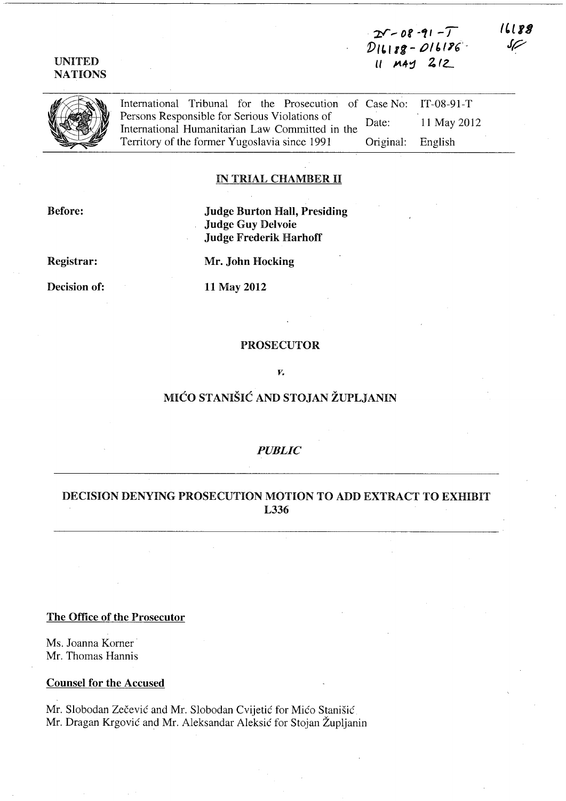2V - 08 -91 - T<br>DILI88 - *OI* 6186 11 MAY 212

UNITED NATIONS

> International Tribunal for the Prosecution of Case No: Persons Responsible for Serious Violations of International Humanitarian Law Committed in the Territory of the former Yugoslavia since 1991 Date: Original: IT-08-91-T 11 May 2012 English

#### IN TRIAL CHAMBER II

Before:

Judge Burton Hall, Presiding Judge Guy Delvoie Judge Frederik Harhoff

Registrar:

Mr. John Hocking

Decision of:

11 May 2012

## PROSECUTOR

*v.* 

# MIĆO STANIŠIĆ AND STOJAN ŽUPLJANIN

#### *PUBLIC*

# DECISION DENYING PROSECUTION MOTION TO ADD EXTRACT TO EXHIBIT L336

## The Office of the Prosecutor

Ms. Joanna Korner Mr. Thomas Hannis

#### Counsel for the Accused

Mr. Slobodan Zecevic and Mr. Slobodan Cvijetic for Mico Stanisic Mr. Dragan Krgovic and Mr. Aleksandar Aleksic for Stojan Zupljanin

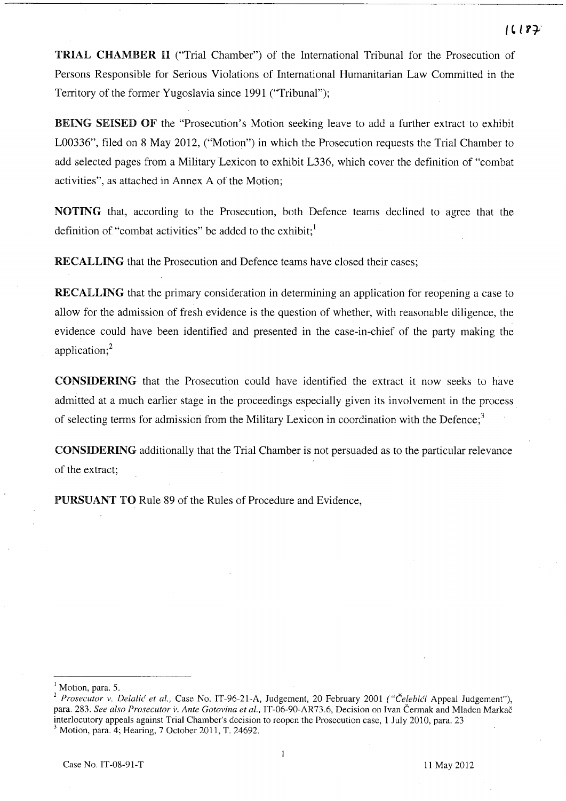TRIAL CHAMBER 11 ("Trial Chamber") of the International Tribunal for the Prosecution of Persons Responsible for Serious Violations of International Humanitarian Law Committed in the Territory of the former Yugoslavia since 1991 ("Tribunal");

BEING SEISED OF the "Prosecution's Motion seeking leave to add a further extract to exhibit L00336", filed on 8 May 2012, ("Motion") in which the Prosecution requests the Trial Chamber to add selected pages from a Military Lexicon to exhibit L336, which cover the definition of "combat activities", as attached in Annex A of the Motion;

NOTING that, according to the Prosecution, both Defence teams declined to agree that the definition of "combat activities" be added to the exhibit; $<sup>1</sup>$ </sup>

RECALLING that the Prosecution and Defence teams have closed their cases;

RECALLING that the primary consideration in determining an application for reopening a case to allow for the admission of fresh evidence is the question of whether, with reasonable diligence, the evidence could have been identified and presented in the case-in-chief of the party making the application;<sup>2</sup>

CONSIDERING that the Prosecution could have identified the extract it now seeks to have admitted at a much earlier stage in the proceedings especially given its involvement in the process of selecting terms for admission from the Military Lexicon in coordination with the Defence;<sup>3</sup>

CONSIDERING additionally that the Trial Chamber is not persuaded as to the particular relevance of the extract;

PURSUANT TO Rule 89 of the Rules of Procedure and Evidence,

Motion, para. 5.

<sup>&</sup>lt;sup>2</sup> Prosecutor v. Delalić et al., Case No. IT-96-21-A, Judgement, 20 February 2001 *("Čelebići* Appeal Judgement"), para. 283. *See also Prosecutor V. Ante Gotovina et aI.,* IT-06-90-AR73.6, Decision on Ivan Cermak and Mladen Markac interlocutory appeals against Trial Chamber's decision to reopen the Prosecution case, 1 July 2010, para. 23 3 Motion, para. 4; Hearing, 7 October 2011, T. 24692.